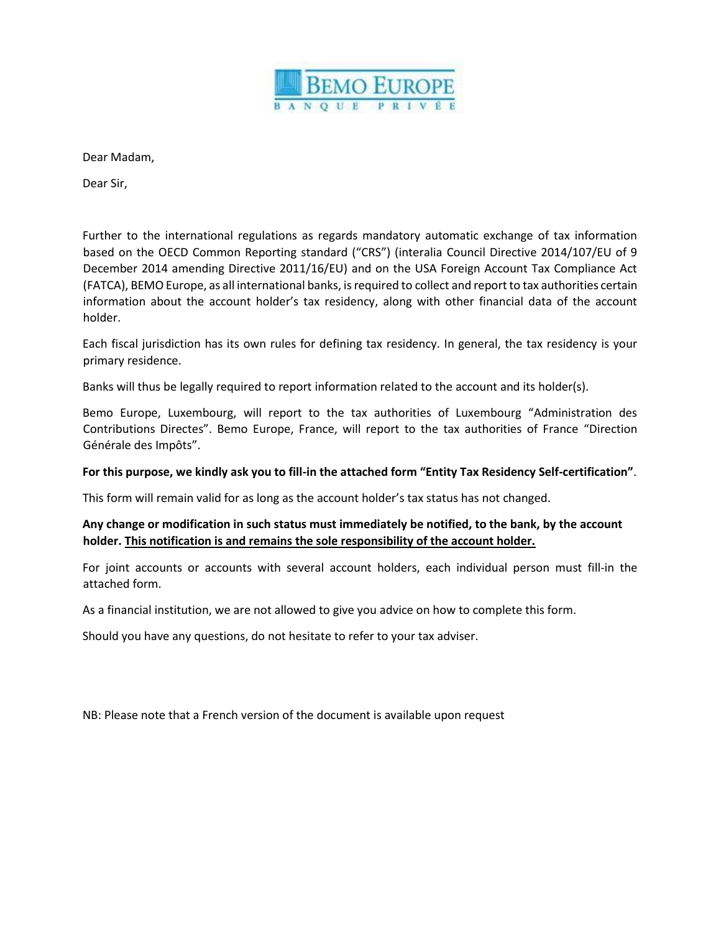

Dear Madam,

Dear Sir,

Further to the international regulations as regards mandatory automatic exchange of tax information based on the OECD Common Reporting standard ("CRS") (interalia Council Directive 2014/107/EU of 9 December 2014 amending Directive 2011/16/EU) and on the USA Foreign Account Tax Compliance Act (FATCA), BEMO Europe, as all international banks, is required to collect and report to tax authorities certain information about the account holder's tax residency, along with other financial data of the account holder.

Each fiscal jurisdiction has its own rules for defining tax residency. In general, the tax residency is your primary residence.

Banks will thus be legally required to report information related to the account and its holder(s).

Bemo Europe, Luxembourg, will report to the tax authorities of Luxembourg "Administration des Contributions Directes". Bemo Europe, France, will report to the tax authorities of France "Direction Générale des Impôts".

#### **For this purpose, we kindly ask you to fill-in the attached form "Entity Tax Residency Self-certification"**.

This form will remain valid for as long as the account holder's tax status has not changed.

### **Any change or modification in such status must immediately be notified, to the bank, by the account holder. This notification is and remains the sole responsibility of the account holder.**

For joint accounts or accounts with several account holders, each individual person must fill-in the attached form.

As a financial institution, we are not allowed to give you advice on how to complete this form.

Should you have any questions, do not hesitate to refer to your tax adviser.

NB: Please note that a French version of the document is available upon request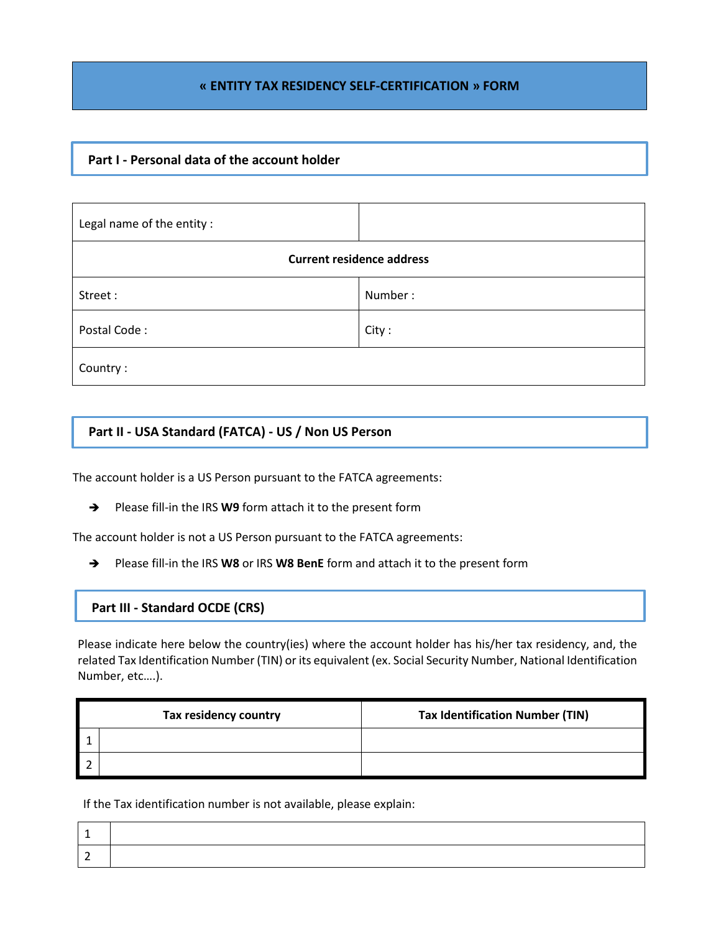### **« ENTITY TAX RESIDENCY SELF-CERTIFICATION » FORM**

## **Part I - Personal data of the account holder**

| Legal name of the entity :       |         |  |  |  |
|----------------------------------|---------|--|--|--|
| <b>Current residence address</b> |         |  |  |  |
| Street:                          | Number: |  |  |  |
| Postal Code:                     | City:   |  |  |  |
| Country:                         |         |  |  |  |

# **Part II - USA Standard (FATCA) - US / Non US Person**

The account holder is a US Person pursuant to the FATCA agreements:

→ Please fill-in the IRS W9 form attach it to the present form

The account holder is not a US Person pursuant to the FATCA agreements:

Please fill-in the IRS **W8** or IRS **W8 BenE** form and attach it to the present form

#### **Part III - Standard OCDE (CRS)**

Please indicate here below the country(ies) where the account holder has his/her tax residency, and, the related Tax Identification Number (TIN) or its equivalent (ex. Social Security Number, National Identification Number, etc….).

| Tax residency country | <b>Tax Identification Number (TIN)</b> |
|-----------------------|----------------------------------------|
|                       |                                        |
|                       |                                        |

If the Tax identification number is not available, please explain: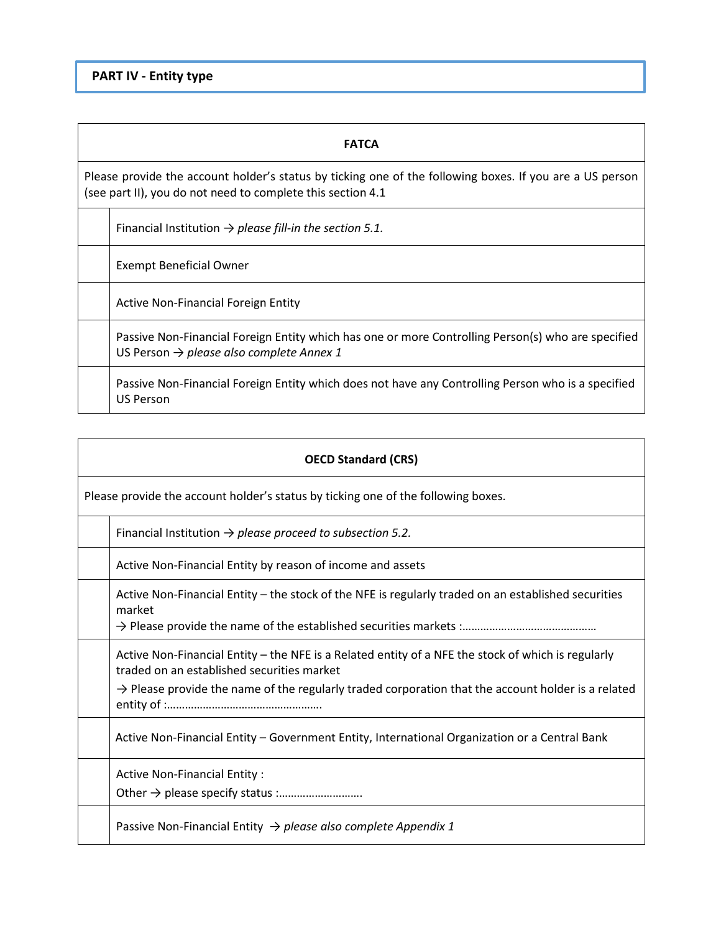### **FATCA**

Please provide the account holder's status by ticking one of the following boxes. If you are a US person (see part II), you do not need to complete this section 4.1

Financial Institution → *please fill-in the section 5.1.*

Exempt Beneficial Owner

Active Non-Financial Foreign Entity

Passive Non-Financial Foreign Entity which has one or more Controlling Person(s) who are specified US Person → *please also complete Annex 1* 

Passive Non-Financial Foreign Entity which does not have any Controlling Person who is a specified US Person

| <b>OECD Standard (CRS)</b> |                                                                                                                                                                                                                                                                    |  |  |  |  |
|----------------------------|--------------------------------------------------------------------------------------------------------------------------------------------------------------------------------------------------------------------------------------------------------------------|--|--|--|--|
|                            | Please provide the account holder's status by ticking one of the following boxes.                                                                                                                                                                                  |  |  |  |  |
|                            | Financial Institution $\rightarrow$ please proceed to subsection 5.2.                                                                                                                                                                                              |  |  |  |  |
|                            | Active Non-Financial Entity by reason of income and assets                                                                                                                                                                                                         |  |  |  |  |
|                            | Active Non-Financial Entity - the stock of the NFE is regularly traded on an established securities<br>market                                                                                                                                                      |  |  |  |  |
|                            | Active Non-Financial Entity – the NFE is a Related entity of a NFE the stock of which is regularly<br>traded on an established securities market<br>$\rightarrow$ Please provide the name of the regularly traded corporation that the account holder is a related |  |  |  |  |
|                            | Active Non-Financial Entity - Government Entity, International Organization or a Central Bank                                                                                                                                                                      |  |  |  |  |
|                            | Active Non-Financial Entity:                                                                                                                                                                                                                                       |  |  |  |  |
|                            | Passive Non-Financial Entity $\rightarrow$ please also complete Appendix 1                                                                                                                                                                                         |  |  |  |  |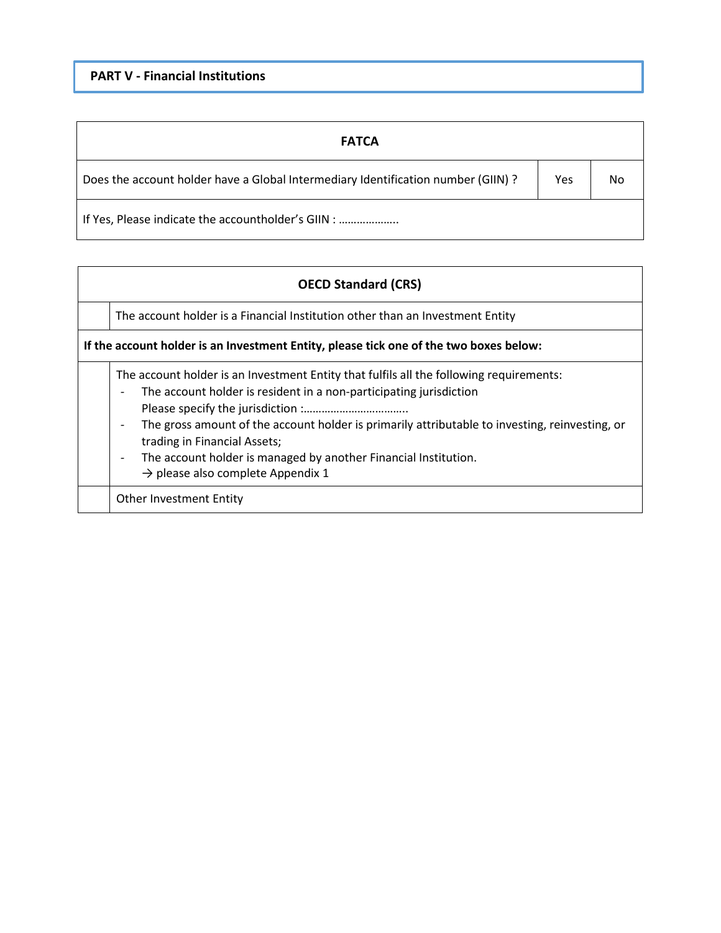| <b>FATCA</b>                                                                      |     |    |
|-----------------------------------------------------------------------------------|-----|----|
| Does the account holder have a Global Intermediary Identification number (GIIN) ? | Yes | No |
| If Yes, Please indicate the accountholder's GIIN :                                |     |    |

# **OECD Standard (CRS)**

The account holder is a Financial Institution other than an Investment Entity

**If the account holder is an Investment Entity, please tick one of the two boxes below:**

The account holder is an Investment Entity that fulfils all the following requirements:

- *-* The account holder is resident in a non-participating jurisdiction Please specify the jurisdiction :……………………………..
- *-* The gross amount of the account holder is primarily attributable to investing, reinvesting, or trading in Financial Assets;
- *-* The account holder is managed by another Financial Institution.
	- $\rightarrow$  please also complete Appendix 1

Other Investment Entity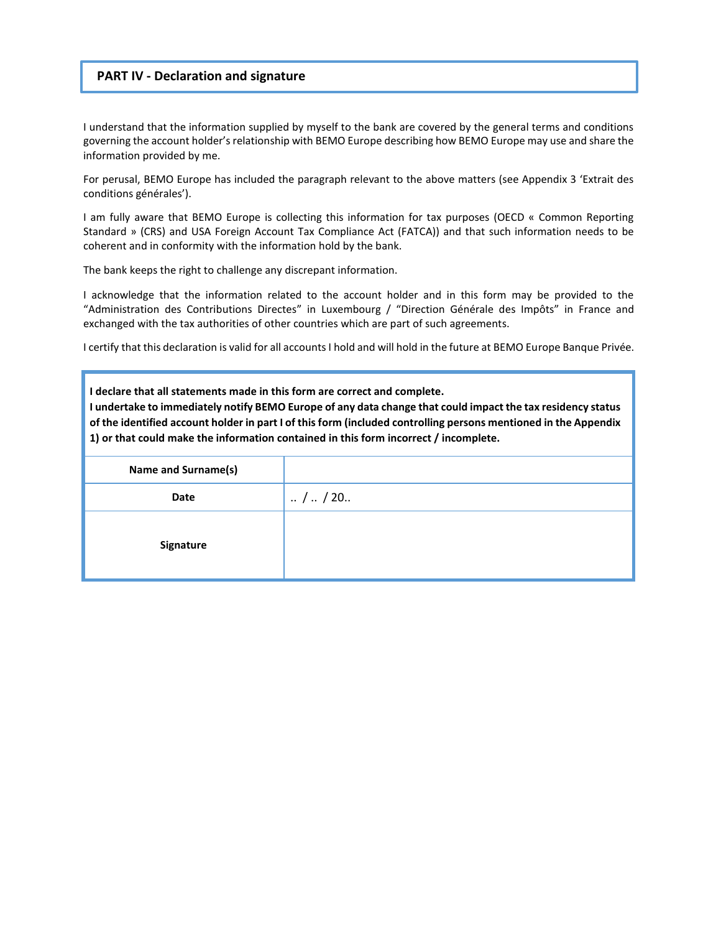#### **PART IV - Declaration and signature**

I understand that the information supplied by myself to the bank are covered by the general terms and conditions governing the account holder's relationship with BEMO Europe describing how BEMO Europe may use and share the information provided by me.

For perusal, BEMO Europe has included the paragraph relevant to the above matters (see Appendix 3 'Extrait des conditions générales').

I am fully aware that BEMO Europe is collecting this information for tax purposes (OECD « Common Reporting Standard » (CRS) and USA Foreign Account Tax Compliance Act (FATCA)) and that such information needs to be coherent and in conformity with the information hold by the bank.

The bank keeps the right to challenge any discrepant information.

I acknowledge that the information related to the account holder and in this form may be provided to the "Administration des Contributions Directes" in Luxembourg / "Direction Générale des Impôts" in France and exchanged with the tax authorities of other countries which are part of such agreements.

I certify that this declaration is valid for all accounts I hold and will hold in the future at BEMO Europe Banque Privée.

| I declare that all statements made in this form are correct and complete.<br>I undertake to immediately notify BEMO Europe of any data change that could impact the tax residency status<br>of the identified account holder in part I of this form (included controlling persons mentioned in the Appendix<br>1) or that could make the information contained in this form incorrect / incomplete. |                           |  |  |  |  |
|-----------------------------------------------------------------------------------------------------------------------------------------------------------------------------------------------------------------------------------------------------------------------------------------------------------------------------------------------------------------------------------------------------|---------------------------|--|--|--|--|
| Name and Surname(s)                                                                                                                                                                                                                                                                                                                                                                                 |                           |  |  |  |  |
| Date                                                                                                                                                                                                                                                                                                                                                                                                | $\ldots$ / $\ldots$ / 20. |  |  |  |  |
| <b>Signature</b>                                                                                                                                                                                                                                                                                                                                                                                    |                           |  |  |  |  |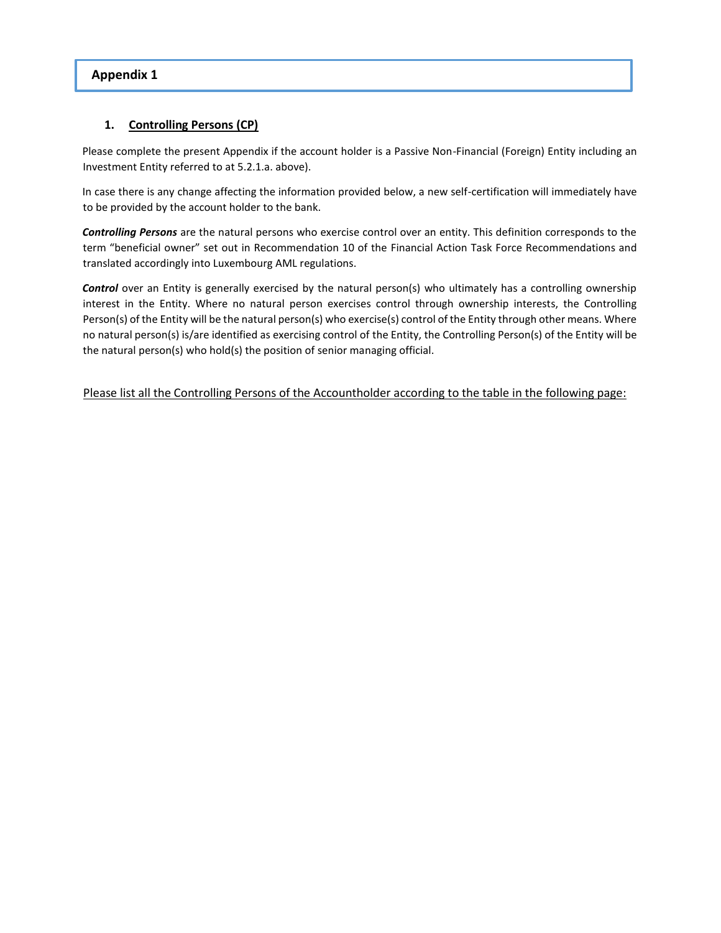### **Appendix 1**

### **1. Controlling Persons (CP)**

Please complete the present Appendix if the account holder is a Passive Non-Financial (Foreign) Entity including an Investment Entity referred to at 5.2.1.a. above).

In case there is any change affecting the information provided below, a new self-certification will immediately have to be provided by the account holder to the bank.

*Controlling Persons* are the natural persons who exercise control over an entity. This definition corresponds to the term "beneficial owner" set out in Recommendation 10 of the Financial Action Task Force Recommendations and translated accordingly into Luxembourg AML regulations.

*Control* over an Entity is generally exercised by the natural person(s) who ultimately has a controlling ownership interest in the Entity. Where no natural person exercises control through ownership interests, the Controlling Person(s) of the Entity will be the natural person(s) who exercise(s) control of the Entity through other means. Where no natural person(s) is/are identified as exercising control of the Entity, the Controlling Person(s) of the Entity will be the natural person(s) who hold(s) the position of senior managing official.

Please list all the Controlling Persons of the Accountholder according to the table in the following page: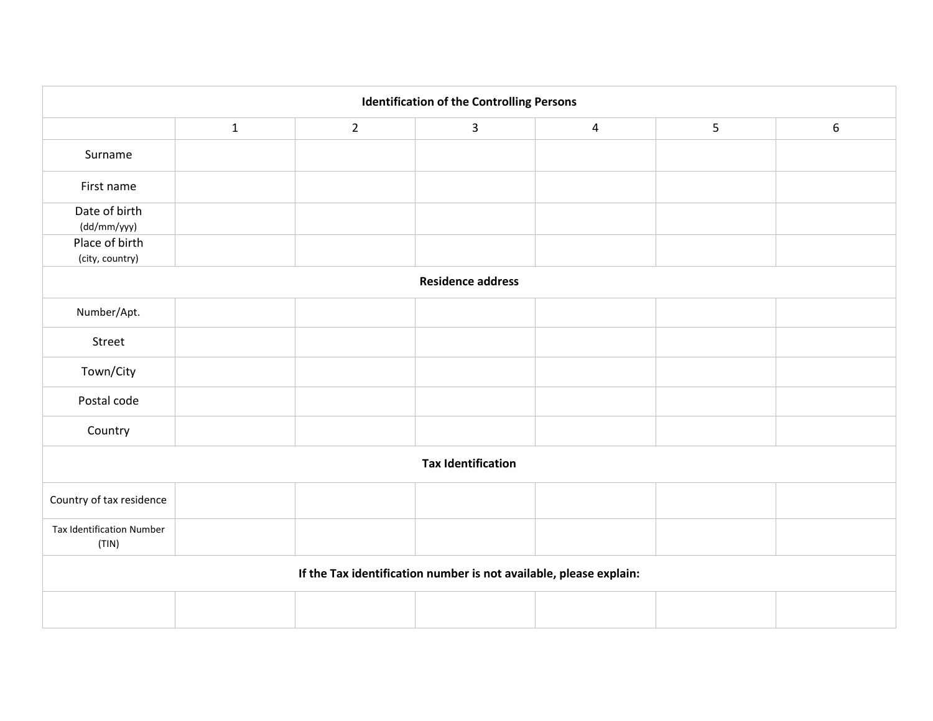| <b>Identification of the Controlling Persons</b>                   |              |                |              |                |   |   |  |
|--------------------------------------------------------------------|--------------|----------------|--------------|----------------|---|---|--|
|                                                                    | $\mathbf{1}$ | $\overline{2}$ | $\mathbf{3}$ | $\overline{4}$ | 5 | 6 |  |
| Surname                                                            |              |                |              |                |   |   |  |
| First name                                                         |              |                |              |                |   |   |  |
| Date of birth<br>(dd/mm/yyy)                                       |              |                |              |                |   |   |  |
| Place of birth<br>(city, country)                                  |              |                |              |                |   |   |  |
| <b>Residence address</b>                                           |              |                |              |                |   |   |  |
| Number/Apt.                                                        |              |                |              |                |   |   |  |
| Street                                                             |              |                |              |                |   |   |  |
| Town/City                                                          |              |                |              |                |   |   |  |
| Postal code                                                        |              |                |              |                |   |   |  |
| Country                                                            |              |                |              |                |   |   |  |
| <b>Tax Identification</b>                                          |              |                |              |                |   |   |  |
| Country of tax residence                                           |              |                |              |                |   |   |  |
| <b>Tax Identification Number</b><br>(TIN)                          |              |                |              |                |   |   |  |
| If the Tax identification number is not available, please explain: |              |                |              |                |   |   |  |
|                                                                    |              |                |              |                |   |   |  |